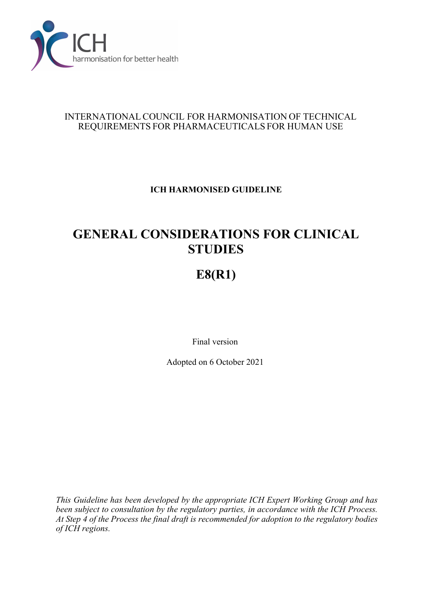

# INTERNATIONAL COUNCIL FOR HARMONISATION OF TECHNICAL REQUIREMENTS FOR PHARMACEUTICALS FOR HUMAN USE

# ICH HARMONISED GUIDELINE

# GENERAL CONSIDERATIONS FOR CLINICAL **STUDIES**

# E8(R1)

Final version

Adopted on 6 October 2021

This Guideline has been developed by the appropriate ICH Expert Working Group and has been subject to consultation by the regulatory parties, in accordance with the ICH Process. At Step 4 of the Process the final draft is recommended for adoption to the regulatory bodies of ICH regions.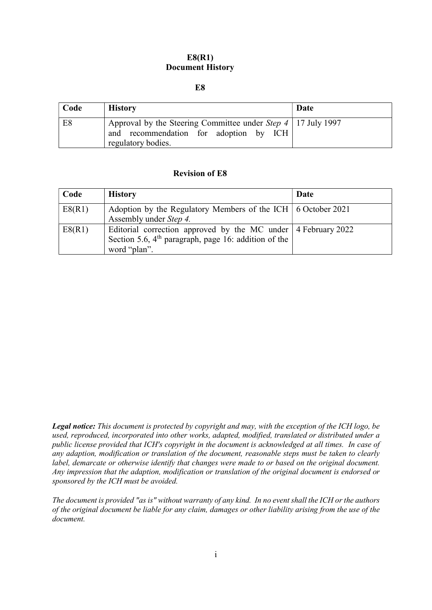#### E8(R1) Document History

E<sub>8</sub>

| Code           | <b>History</b>                                                                                                                 | Date |
|----------------|--------------------------------------------------------------------------------------------------------------------------------|------|
| E <sub>8</sub> | Approval by the Steering Committee under Step 4   17 July 1997<br>and recommendation for adoption by ICH<br>regulatory bodies. |      |

#### Revision of E8

| Code   | <b>History</b>                                                                                                                            | Date |
|--------|-------------------------------------------------------------------------------------------------------------------------------------------|------|
| E8(R1) | Adoption by the Regulatory Members of the ICH $\vert$ 6 October 2021<br>Assembly under Step 4.                                            |      |
| E8(R1) | Editorial correction approved by the MC under   4 February 2022<br>Section 5.6, $4th$ paragraph, page 16: addition of the<br>word "plan". |      |

Legal notice: This document is protected by copyright and may, with the exception of the ICH logo, be used, reproduced, incorporated into other works, adapted, modified, translated or distributed under a public license provided that ICH's copyright in the document is acknowledged at all times. In case of any adaption, modification or translation of the document, reasonable steps must be taken to clearly label, demarcate or otherwise identify that changes were made to or based on the original document. Any impression that the adaption, modification or translation of the original document is endorsed or sponsored by the ICH must be avoided.

The document is provided "as is" without warranty of any kind. In no event shall the ICH or the authors of the original document be liable for any claim, damages or other liability arising from the use of the document.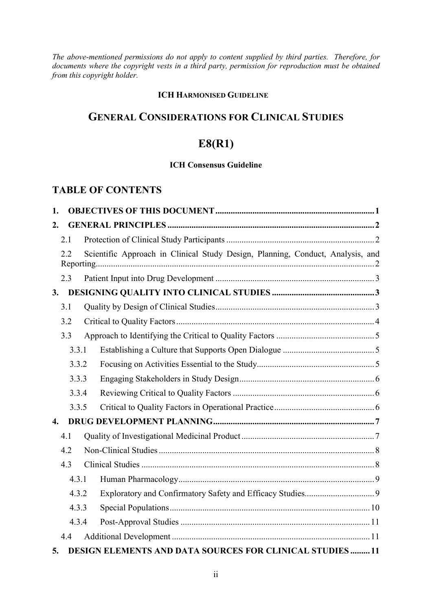The above-mentioned permissions do not apply to content supplied by third parties. Therefore, for documents where the copyright vests in a third party, permission for reproduction must be obtained from this copyright holder.

#### ICH HARMONISED GUIDELINE

# GENERAL CONSIDERATIONS FOR CLINICAL STUDIES

# E8(R1)

## ICH Consensus Guideline

# TABLE OF CONTENTS

| 1.               |     |       |                                                                                |
|------------------|-----|-------|--------------------------------------------------------------------------------|
| 2.               |     |       |                                                                                |
|                  | 2.1 |       |                                                                                |
|                  | 2.2 |       | Scientific Approach in Clinical Study Design, Planning, Conduct, Analysis, and |
|                  | 2.3 |       |                                                                                |
| 3.               |     |       |                                                                                |
|                  | 3.1 |       |                                                                                |
|                  | 3.2 |       |                                                                                |
|                  | 3.3 |       |                                                                                |
|                  |     | 3.3.1 |                                                                                |
|                  |     | 3.3.2 |                                                                                |
|                  |     | 3.3.3 |                                                                                |
|                  |     | 3.3.4 |                                                                                |
|                  |     | 3.3.5 |                                                                                |
| $\overline{4}$ . |     |       |                                                                                |
|                  | 4.1 |       |                                                                                |
|                  | 4.2 |       |                                                                                |
|                  | 4.3 |       |                                                                                |
|                  |     | 4.3.1 |                                                                                |
|                  |     | 4.3.2 |                                                                                |
|                  |     | 4.3.3 |                                                                                |
|                  |     | 4.3.4 |                                                                                |
|                  | 4.4 |       |                                                                                |
| 5.               |     |       | <b>DESIGN ELEMENTS AND DATA SOURCES FOR CLINICAL STUDIES 11</b>                |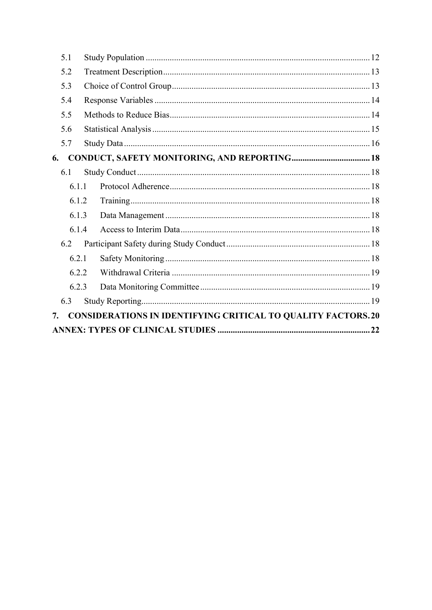|    | 5.1   |                                                                     |  |
|----|-------|---------------------------------------------------------------------|--|
|    | 5.2   |                                                                     |  |
|    | 5.3   |                                                                     |  |
|    | 5.4   |                                                                     |  |
|    | 5.5   |                                                                     |  |
|    | 5.6   |                                                                     |  |
|    | 5.7   |                                                                     |  |
| 6. |       |                                                                     |  |
|    | 6.1   |                                                                     |  |
|    | 6.1.1 |                                                                     |  |
|    | 6.1.2 |                                                                     |  |
|    | 6.1.3 |                                                                     |  |
|    | 6.1.4 |                                                                     |  |
|    | 6.2   |                                                                     |  |
|    | 6.2.1 |                                                                     |  |
|    | 6.2.2 |                                                                     |  |
|    | 6.2.3 |                                                                     |  |
|    | 6.3   |                                                                     |  |
| 7. |       | <b>CONSIDERATIONS IN IDENTIFYING CRITICAL TO QUALITY FACTORS.20</b> |  |
|    |       |                                                                     |  |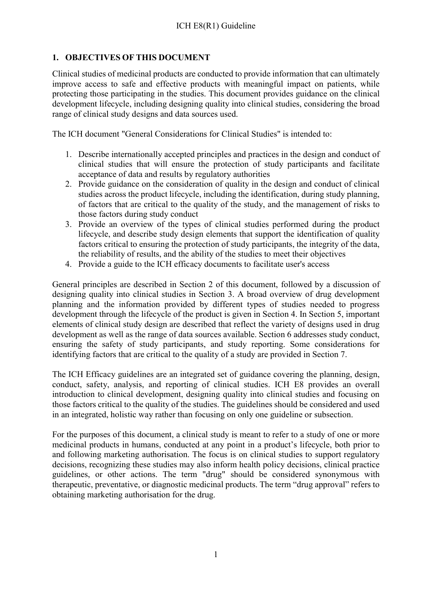# 1. OBJECTIVES OF THIS DOCUMENT

Clinical studies of medicinal products are conducted to provide information that can ultimately improve access to safe and effective products with meaningful impact on patients, while protecting those participating in the studies. This document provides guidance on the clinical development lifecycle, including designing quality into clinical studies, considering the broad range of clinical study designs and data sources used.

The ICH document "General Considerations for Clinical Studies" is intended to:

- 1. Describe internationally accepted principles and practices in the design and conduct of clinical studies that will ensure the protection of study participants and facilitate acceptance of data and results by regulatory authorities
- 2. Provide guidance on the consideration of quality in the design and conduct of clinical studies across the product lifecycle, including the identification, during study planning, of factors that are critical to the quality of the study, and the management of risks to those factors during study conduct
- 3. Provide an overview of the types of clinical studies performed during the product lifecycle, and describe study design elements that support the identification of quality factors critical to ensuring the protection of study participants, the integrity of the data, the reliability of results, and the ability of the studies to meet their objectives
- 4. Provide a guide to the ICH efficacy documents to facilitate user's access

General principles are described in Section 2 of this document, followed by a discussion of designing quality into clinical studies in Section 3. A broad overview of drug development planning and the information provided by different types of studies needed to progress development through the lifecycle of the product is given in Section 4. In Section 5, important elements of clinical study design are described that reflect the variety of designs used in drug development as well as the range of data sources available. Section 6 addresses study conduct, ensuring the safety of study participants, and study reporting. Some considerations for identifying factors that are critical to the quality of a study are provided in Section 7.

The ICH Efficacy guidelines are an integrated set of guidance covering the planning, design, conduct, safety, analysis, and reporting of clinical studies. ICH E8 provides an overall introduction to clinical development, designing quality into clinical studies and focusing on those factors critical to the quality of the studies. The guidelines should be considered and used in an integrated, holistic way rather than focusing on only one guideline or subsection.

For the purposes of this document, a clinical study is meant to refer to a study of one or more medicinal products in humans, conducted at any point in a product's lifecycle, both prior to and following marketing authorisation. The focus is on clinical studies to support regulatory decisions, recognizing these studies may also inform health policy decisions, clinical practice guidelines, or other actions. The term "drug" should be considered synonymous with therapeutic, preventative, or diagnostic medicinal products. The term "drug approval" refers to obtaining marketing authorisation for the drug.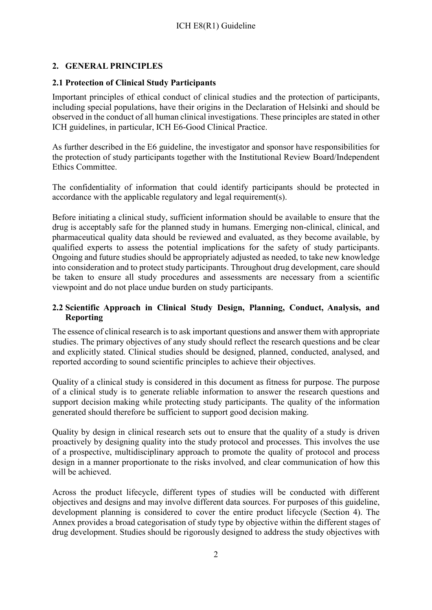# 2. GENERAL PRINCIPLES

### 2.1 Protection of Clinical Study Participants

Important principles of ethical conduct of clinical studies and the protection of participants, including special populations, have their origins in the Declaration of Helsinki and should be observed in the conduct of all human clinical investigations. These principles are stated in other ICH guidelines, in particular, ICH E6-Good Clinical Practice.

As further described in the E6 guideline, the investigator and sponsor have responsibilities for the protection of study participants together with the Institutional Review Board/Independent Ethics Committee.

The confidentiality of information that could identify participants should be protected in accordance with the applicable regulatory and legal requirement(s).

Before initiating a clinical study, sufficient information should be available to ensure that the drug is acceptably safe for the planned study in humans. Emerging non-clinical, clinical, and pharmaceutical quality data should be reviewed and evaluated, as they become available, by qualified experts to assess the potential implications for the safety of study participants. Ongoing and future studies should be appropriately adjusted as needed, to take new knowledge into consideration and to protect study participants. Throughout drug development, care should be taken to ensure all study procedures and assessments are necessary from a scientific viewpoint and do not place undue burden on study participants.

# 2.2 Scientific Approach in Clinical Study Design, Planning, Conduct, Analysis, and Reporting

The essence of clinical research is to ask important questions and answer them with appropriate studies. The primary objectives of any study should reflect the research questions and be clear and explicitly stated. Clinical studies should be designed, planned, conducted, analysed, and reported according to sound scientific principles to achieve their objectives.

Quality of a clinical study is considered in this document as fitness for purpose. The purpose of a clinical study is to generate reliable information to answer the research questions and support decision making while protecting study participants. The quality of the information generated should therefore be sufficient to support good decision making.

Quality by design in clinical research sets out to ensure that the quality of a study is driven proactively by designing quality into the study protocol and processes. This involves the use of a prospective, multidisciplinary approach to promote the quality of protocol and process design in a manner proportionate to the risks involved, and clear communication of how this will be achieved.

Across the product lifecycle, different types of studies will be conducted with different objectives and designs and may involve different data sources. For purposes of this guideline, development planning is considered to cover the entire product lifecycle (Section 4). The Annex provides a broad categorisation of study type by objective within the different stages of drug development. Studies should be rigorously designed to address the study objectives with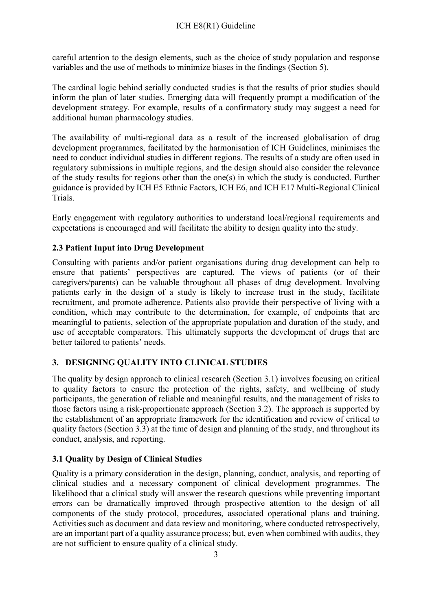careful attention to the design elements, such as the choice of study population and response variables and the use of methods to minimize biases in the findings (Section 5).

The cardinal logic behind serially conducted studies is that the results of prior studies should inform the plan of later studies. Emerging data will frequently prompt a modification of the development strategy. For example, results of a confirmatory study may suggest a need for additional human pharmacology studies.

The availability of multi-regional data as a result of the increased globalisation of drug development programmes, facilitated by the harmonisation of ICH Guidelines, minimises the need to conduct individual studies in different regions. The results of a study are often used in regulatory submissions in multiple regions, and the design should also consider the relevance of the study results for regions other than the one(s) in which the study is conducted. Further guidance is provided by ICH E5 Ethnic Factors, ICH E6, and ICH E17 Multi-Regional Clinical Trials.

Early engagement with regulatory authorities to understand local/regional requirements and expectations is encouraged and will facilitate the ability to design quality into the study.

### 2.3 Patient Input into Drug Development

Consulting with patients and/or patient organisations during drug development can help to ensure that patients' perspectives are captured. The views of patients (or of their caregivers/parents) can be valuable throughout all phases of drug development. Involving patients early in the design of a study is likely to increase trust in the study, facilitate recruitment, and promote adherence. Patients also provide their perspective of living with a condition, which may contribute to the determination, for example, of endpoints that are meaningful to patients, selection of the appropriate population and duration of the study, and use of acceptable comparators. This ultimately supports the development of drugs that are better tailored to patients' needs.

# 3. DESIGNING QUALITY INTO CLINICAL STUDIES

The quality by design approach to clinical research (Section 3.1) involves focusing on critical to quality factors to ensure the protection of the rights, safety, and wellbeing of study participants, the generation of reliable and meaningful results, and the management of risks to those factors using a risk-proportionate approach (Section 3.2). The approach is supported by the establishment of an appropriate framework for the identification and review of critical to quality factors (Section 3.3) at the time of design and planning of the study, and throughout its conduct, analysis, and reporting.

### 3.1 Quality by Design of Clinical Studies

Quality is a primary consideration in the design, planning, conduct, analysis, and reporting of clinical studies and a necessary component of clinical development programmes. The likelihood that a clinical study will answer the research questions while preventing important errors can be dramatically improved through prospective attention to the design of all components of the study protocol, procedures, associated operational plans and training. Activities such as document and data review and monitoring, where conducted retrospectively, are an important part of a quality assurance process; but, even when combined with audits, they are not sufficient to ensure quality of a clinical study.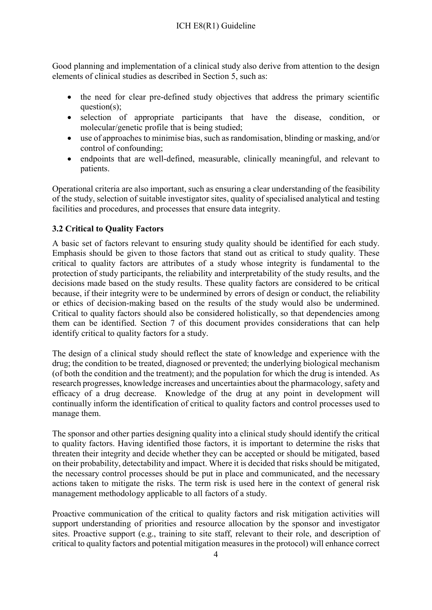Good planning and implementation of a clinical study also derive from attention to the design elements of clinical studies as described in Section 5, such as:

- the need for clear pre-defined study objectives that address the primary scientific question(s);
- selection of appropriate participants that have the disease, condition, or molecular/genetic profile that is being studied;
- use of approaches to minimise bias, such as randomisation, blinding or masking, and/or control of confounding;
- endpoints that are well-defined, measurable, clinically meaningful, and relevant to patients.

Operational criteria are also important, such as ensuring a clear understanding of the feasibility of the study, selection of suitable investigator sites, quality of specialised analytical and testing facilities and procedures, and processes that ensure data integrity.

# 3.2 Critical to Quality Factors

A basic set of factors relevant to ensuring study quality should be identified for each study. Emphasis should be given to those factors that stand out as critical to study quality. These critical to quality factors are attributes of a study whose integrity is fundamental to the protection of study participants, the reliability and interpretability of the study results, and the decisions made based on the study results. These quality factors are considered to be critical because, if their integrity were to be undermined by errors of design or conduct, the reliability or ethics of decision-making based on the results of the study would also be undermined. Critical to quality factors should also be considered holistically, so that dependencies among them can be identified. Section 7 of this document provides considerations that can help identify critical to quality factors for a study.

The design of a clinical study should reflect the state of knowledge and experience with the drug; the condition to be treated, diagnosed or prevented; the underlying biological mechanism (of both the condition and the treatment); and the population for which the drug is intended. As research progresses, knowledge increases and uncertainties about the pharmacology, safety and efficacy of a drug decrease. Knowledge of the drug at any point in development will continually inform the identification of critical to quality factors and control processes used to manage them.

The sponsor and other parties designing quality into a clinical study should identify the critical to quality factors. Having identified those factors, it is important to determine the risks that threaten their integrity and decide whether they can be accepted or should be mitigated, based on their probability, detectability and impact. Where it is decided that risks should be mitigated, the necessary control processes should be put in place and communicated, and the necessary actions taken to mitigate the risks. The term risk is used here in the context of general risk management methodology applicable to all factors of a study.

Proactive communication of the critical to quality factors and risk mitigation activities will support understanding of priorities and resource allocation by the sponsor and investigator sites. Proactive support (e.g., training to site staff, relevant to their role, and description of critical to quality factors and potential mitigation measures in the protocol) will enhance correct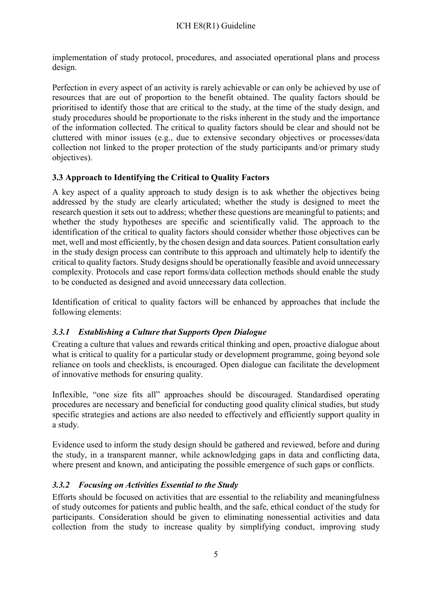implementation of study protocol, procedures, and associated operational plans and process design.

Perfection in every aspect of an activity is rarely achievable or can only be achieved by use of resources that are out of proportion to the benefit obtained. The quality factors should be prioritised to identify those that are critical to the study, at the time of the study design, and study procedures should be proportionate to the risks inherent in the study and the importance of the information collected. The critical to quality factors should be clear and should not be cluttered with minor issues (e.g., due to extensive secondary objectives or processes/data collection not linked to the proper protection of the study participants and/or primary study objectives).

# 3.3 Approach to Identifying the Critical to Quality Factors

A key aspect of a quality approach to study design is to ask whether the objectives being addressed by the study are clearly articulated; whether the study is designed to meet the research question it sets out to address; whether these questions are meaningful to patients; and whether the study hypotheses are specific and scientifically valid. The approach to the identification of the critical to quality factors should consider whether those objectives can be met, well and most efficiently, by the chosen design and data sources. Patient consultation early in the study design process can contribute to this approach and ultimately help to identify the critical to quality factors. Study designs should be operationally feasible and avoid unnecessary complexity. Protocols and case report forms/data collection methods should enable the study to be conducted as designed and avoid unnecessary data collection.

Identification of critical to quality factors will be enhanced by approaches that include the following elements:

# 3.3.1 Establishing a Culture that Supports Open Dialogue

Creating a culture that values and rewards critical thinking and open, proactive dialogue about what is critical to quality for a particular study or development programme, going beyond sole reliance on tools and checklists, is encouraged. Open dialogue can facilitate the development of innovative methods for ensuring quality.

Inflexible, "one size fits all" approaches should be discouraged. Standardised operating procedures are necessary and beneficial for conducting good quality clinical studies, but study specific strategies and actions are also needed to effectively and efficiently support quality in a study.

Evidence used to inform the study design should be gathered and reviewed, before and during the study, in a transparent manner, while acknowledging gaps in data and conflicting data, where present and known, and anticipating the possible emergence of such gaps or conflicts.

# 3.3.2 Focusing on Activities Essential to the Study

Efforts should be focused on activities that are essential to the reliability and meaningfulness of study outcomes for patients and public health, and the safe, ethical conduct of the study for participants. Consideration should be given to eliminating nonessential activities and data collection from the study to increase quality by simplifying conduct, improving study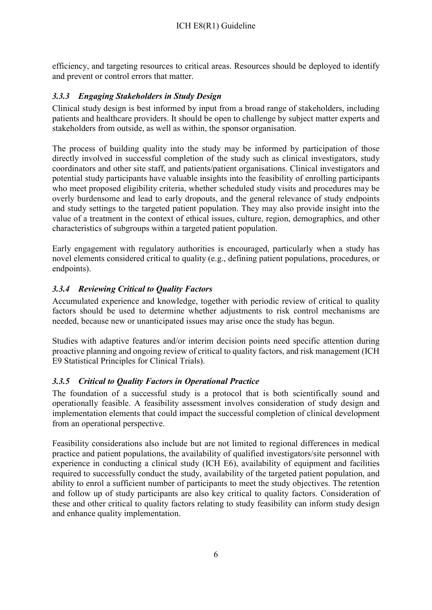efficiency, and targeting resources to critical areas. Resources should be deployed to identify and prevent or control errors that matter.

# 3.3.3 Engaging Stakeholders in Study Design

Clinical study design is best informed by input from a broad range of stakeholders, including patients and healthcare providers. It should be open to challenge by subject matter experts and stakeholders from outside, as well as within, the sponsor organisation.

The process of building quality into the study may be informed by participation of those directly involved in successful completion of the study such as clinical investigators, study coordinators and other site staff, and patients/patient organisations. Clinical investigators and potential study participants have valuable insights into the feasibility of enrolling participants who meet proposed eligibility criteria, whether scheduled study visits and procedures may be overly burdensome and lead to early dropouts, and the general relevance of study endpoints and study settings to the targeted patient population. They may also provide insight into the value of a treatment in the context of ethical issues, culture, region, demographics, and other characteristics of subgroups within a targeted patient population.

Early engagement with regulatory authorities is encouraged, particularly when a study has novel elements considered critical to quality (e.g., defining patient populations, procedures, or endpoints).

# 3.3.4 Reviewing Critical to Quality Factors

Accumulated experience and knowledge, together with periodic review of critical to quality factors should be used to determine whether adjustments to risk control mechanisms are needed, because new or unanticipated issues may arise once the study has begun.

Studies with adaptive features and/or interim decision points need specific attention during proactive planning and ongoing review of critical to quality factors, and risk management (ICH E9 Statistical Principles for Clinical Trials).

### 3.3.5 Critical to Quality Factors in Operational Practice

The foundation of a successful study is a protocol that is both scientifically sound and operationally feasible. A feasibility assessment involves consideration of study design and implementation elements that could impact the successful completion of clinical development from an operational perspective.

Feasibility considerations also include but are not limited to regional differences in medical practice and patient populations, the availability of qualified investigators/site personnel with experience in conducting a clinical study (ICH E6), availability of equipment and facilities required to successfully conduct the study, availability of the targeted patient population, and ability to enrol a sufficient number of participants to meet the study objectives. The retention and follow up of study participants are also key critical to quality factors. Consideration of these and other critical to quality factors relating to study feasibility can inform study design and enhance quality implementation.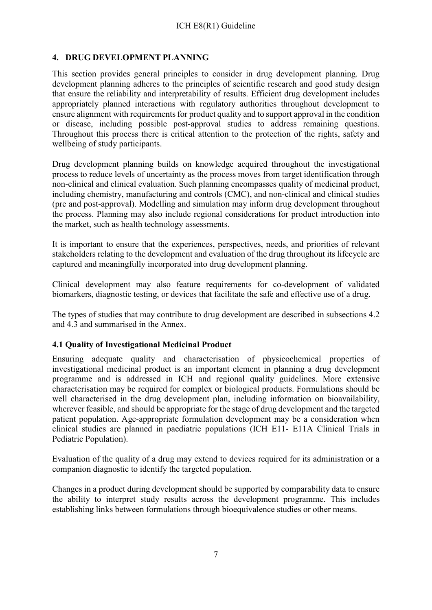# 4. DRUG DEVELOPMENT PLANNING

This section provides general principles to consider in drug development planning. Drug development planning adheres to the principles of scientific research and good study design that ensure the reliability and interpretability of results. Efficient drug development includes appropriately planned interactions with regulatory authorities throughout development to ensure alignment with requirements for product quality and to support approval in the condition or disease, including possible post-approval studies to address remaining questions. Throughout this process there is critical attention to the protection of the rights, safety and wellbeing of study participants.

Drug development planning builds on knowledge acquired throughout the investigational process to reduce levels of uncertainty as the process moves from target identification through non-clinical and clinical evaluation. Such planning encompasses quality of medicinal product, including chemistry, manufacturing and controls (CMC), and non-clinical and clinical studies (pre and post-approval). Modelling and simulation may inform drug development throughout the process. Planning may also include regional considerations for product introduction into the market, such as health technology assessments.

It is important to ensure that the experiences, perspectives, needs, and priorities of relevant stakeholders relating to the development and evaluation of the drug throughout its lifecycle are captured and meaningfully incorporated into drug development planning.

Clinical development may also feature requirements for co-development of validated biomarkers, diagnostic testing, or devices that facilitate the safe and effective use of a drug.

The types of studies that may contribute to drug development are described in subsections 4.2 and 4.3 and summarised in the Annex.

### 4.1 Quality of Investigational Medicinal Product

Ensuring adequate quality and characterisation of physicochemical properties of investigational medicinal product is an important element in planning a drug development programme and is addressed in ICH and regional quality guidelines. More extensive characterisation may be required for complex or biological products. Formulations should be well characterised in the drug development plan, including information on bioavailability, wherever feasible, and should be appropriate for the stage of drug development and the targeted patient population. Age-appropriate formulation development may be a consideration when clinical studies are planned in paediatric populations (ICH E11- E11A Clinical Trials in Pediatric Population).

Evaluation of the quality of a drug may extend to devices required for its administration or a companion diagnostic to identify the targeted population.

Changes in a product during development should be supported by comparability data to ensure the ability to interpret study results across the development programme. This includes establishing links between formulations through bioequivalence studies or other means.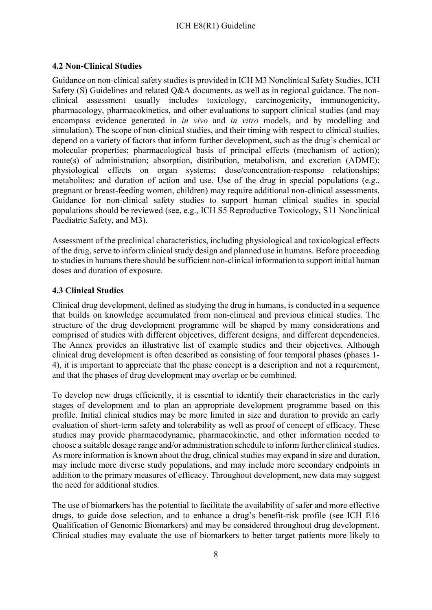#### 4.2 Non-Clinical Studies

Guidance on non-clinical safety studies is provided in ICH M3 Nonclinical Safety Studies, ICH Safety (S) Guidelines and related Q&A documents, as well as in regional guidance. The nonclinical assessment usually includes toxicology, carcinogenicity, immunogenicity, pharmacology, pharmacokinetics, and other evaluations to support clinical studies (and may encompass evidence generated in in vivo and in vitro models, and by modelling and simulation). The scope of non-clinical studies, and their timing with respect to clinical studies, depend on a variety of factors that inform further development, such as the drug's chemical or molecular properties; pharmacological basis of principal effects (mechanism of action); route(s) of administration; absorption, distribution, metabolism, and excretion (ADME); physiological effects on organ systems; dose/concentration-response relationships; metabolites; and duration of action and use. Use of the drug in special populations (e.g., pregnant or breast-feeding women, children) may require additional non-clinical assessments. Guidance for non-clinical safety studies to support human clinical studies in special populations should be reviewed (see, e.g., ICH S5 Reproductive Toxicology, S11 Nonclinical Paediatric Safety, and M3).

Assessment of the preclinical characteristics, including physiological and toxicological effects of the drug, serve to inform clinical study design and planned use in humans. Before proceeding to studies in humans there should be sufficient non-clinical information to support initial human doses and duration of exposure.

#### 4.3 Clinical Studies

Clinical drug development, defined as studying the drug in humans, is conducted in a sequence that builds on knowledge accumulated from non-clinical and previous clinical studies. The structure of the drug development programme will be shaped by many considerations and comprised of studies with different objectives, different designs, and different dependencies. The Annex provides an illustrative list of example studies and their objectives. Although clinical drug development is often described as consisting of four temporal phases (phases 1- 4), it is important to appreciate that the phase concept is a description and not a requirement, and that the phases of drug development may overlap or be combined.

To develop new drugs efficiently, it is essential to identify their characteristics in the early stages of development and to plan an appropriate development programme based on this profile. Initial clinical studies may be more limited in size and duration to provide an early evaluation of short-term safety and tolerability as well as proof of concept of efficacy. These studies may provide pharmacodynamic, pharmacokinetic, and other information needed to choose a suitable dosage range and/or administration schedule to inform further clinical studies. As more information is known about the drug, clinical studies may expand in size and duration, may include more diverse study populations, and may include more secondary endpoints in addition to the primary measures of efficacy. Throughout development, new data may suggest the need for additional studies.

The use of biomarkers has the potential to facilitate the availability of safer and more effective drugs, to guide dose selection, and to enhance a drug's benefit-risk profile (see ICH E16 Qualification of Genomic Biomarkers) and may be considered throughout drug development. Clinical studies may evaluate the use of biomarkers to better target patients more likely to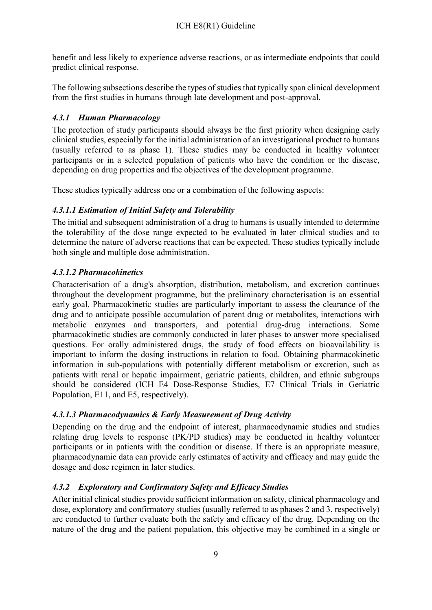benefit and less likely to experience adverse reactions, or as intermediate endpoints that could predict clinical response.

The following subsections describe the types of studies that typically span clinical development from the first studies in humans through late development and post-approval.

# 4.3.1 Human Pharmacology

The protection of study participants should always be the first priority when designing early clinical studies, especially for the initial administration of an investigational product to humans (usually referred to as phase 1). These studies may be conducted in healthy volunteer participants or in a selected population of patients who have the condition or the disease, depending on drug properties and the objectives of the development programme.

These studies typically address one or a combination of the following aspects:

# 4.3.1.1 Estimation of Initial Safety and Tolerability

The initial and subsequent administration of a drug to humans is usually intended to determine the tolerability of the dose range expected to be evaluated in later clinical studies and to determine the nature of adverse reactions that can be expected. These studies typically include both single and multiple dose administration.

# 4.3.1.2 Pharmacokinetics

Characterisation of a drug's absorption, distribution, metabolism, and excretion continues throughout the development programme, but the preliminary characterisation is an essential early goal. Pharmacokinetic studies are particularly important to assess the clearance of the drug and to anticipate possible accumulation of parent drug or metabolites, interactions with metabolic enzymes and transporters, and potential drug-drug interactions. Some pharmacokinetic studies are commonly conducted in later phases to answer more specialised questions. For orally administered drugs, the study of food effects on bioavailability is important to inform the dosing instructions in relation to food. Obtaining pharmacokinetic information in sub-populations with potentially different metabolism or excretion, such as patients with renal or hepatic impairment, geriatric patients, children, and ethnic subgroups should be considered (ICH E4 Dose-Response Studies, E7 Clinical Trials in Geriatric Population, E11, and E5, respectively).

# 4.3.1.3 Pharmacodynamics & Early Measurement of Drug Activity

Depending on the drug and the endpoint of interest, pharmacodynamic studies and studies relating drug levels to response (PK/PD studies) may be conducted in healthy volunteer participants or in patients with the condition or disease. If there is an appropriate measure, pharmacodynamic data can provide early estimates of activity and efficacy and may guide the dosage and dose regimen in later studies.

# 4.3.2 Exploratory and Confirmatory Safety and Efficacy Studies

After initial clinical studies provide sufficient information on safety, clinical pharmacology and dose, exploratory and confirmatory studies (usually referred to as phases 2 and 3, respectively) are conducted to further evaluate both the safety and efficacy of the drug. Depending on the nature of the drug and the patient population, this objective may be combined in a single or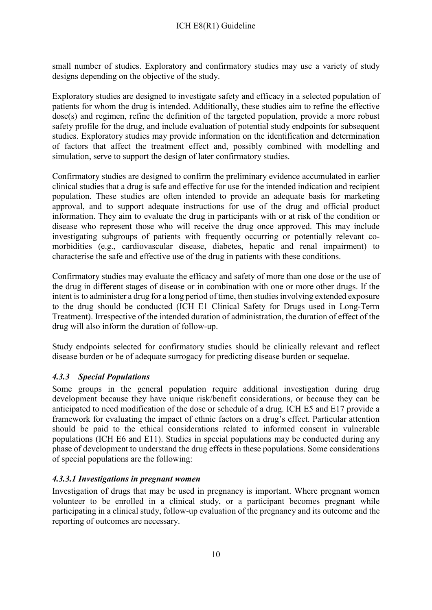small number of studies. Exploratory and confirmatory studies may use a variety of study designs depending on the objective of the study.

Exploratory studies are designed to investigate safety and efficacy in a selected population of patients for whom the drug is intended. Additionally, these studies aim to refine the effective dose(s) and regimen, refine the definition of the targeted population, provide a more robust safety profile for the drug, and include evaluation of potential study endpoints for subsequent studies. Exploratory studies may provide information on the identification and determination of factors that affect the treatment effect and, possibly combined with modelling and simulation, serve to support the design of later confirmatory studies.

Confirmatory studies are designed to confirm the preliminary evidence accumulated in earlier clinical studies that a drug is safe and effective for use for the intended indication and recipient population. These studies are often intended to provide an adequate basis for marketing approval, and to support adequate instructions for use of the drug and official product information. They aim to evaluate the drug in participants with or at risk of the condition or disease who represent those who will receive the drug once approved. This may include investigating subgroups of patients with frequently occurring or potentially relevant comorbidities (e.g., cardiovascular disease, diabetes, hepatic and renal impairment) to characterise the safe and effective use of the drug in patients with these conditions.

Confirmatory studies may evaluate the efficacy and safety of more than one dose or the use of the drug in different stages of disease or in combination with one or more other drugs. If the intent is to administer a drug for a long period of time, then studies involving extended exposure to the drug should be conducted (ICH E1 Clinical Safety for Drugs used in Long-Term Treatment). Irrespective of the intended duration of administration, the duration of effect of the drug will also inform the duration of follow-up.

Study endpoints selected for confirmatory studies should be clinically relevant and reflect disease burden or be of adequate surrogacy for predicting disease burden or sequelae.

# 4.3.3 Special Populations

Some groups in the general population require additional investigation during drug development because they have unique risk/benefit considerations, or because they can be anticipated to need modification of the dose or schedule of a drug. ICH E5 and E17 provide a framework for evaluating the impact of ethnic factors on a drug's effect. Particular attention should be paid to the ethical considerations related to informed consent in vulnerable populations (ICH E6 and E11). Studies in special populations may be conducted during any phase of development to understand the drug effects in these populations. Some considerations of special populations are the following:

### 4.3.3.1 Investigations in pregnant women

Investigation of drugs that may be used in pregnancy is important. Where pregnant women volunteer to be enrolled in a clinical study, or a participant becomes pregnant while participating in a clinical study, follow-up evaluation of the pregnancy and its outcome and the reporting of outcomes are necessary.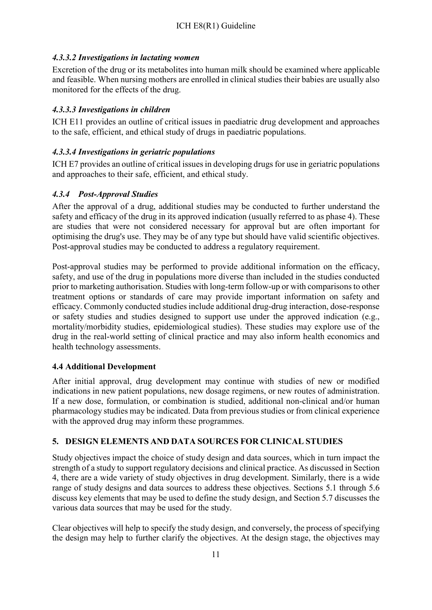# 4.3.3.2 Investigations in lactating women

Excretion of the drug or its metabolites into human milk should be examined where applicable and feasible. When nursing mothers are enrolled in clinical studies their babies are usually also monitored for the effects of the drug.

# 4.3.3.3 Investigations in children

ICH E11 provides an outline of critical issues in paediatric drug development and approaches to the safe, efficient, and ethical study of drugs in paediatric populations.

# 4.3.3.4 Investigations in geriatric populations

ICH E7 provides an outline of critical issues in developing drugs for use in geriatric populations and approaches to their safe, efficient, and ethical study.

### 4.3.4 Post-Approval Studies

After the approval of a drug, additional studies may be conducted to further understand the safety and efficacy of the drug in its approved indication (usually referred to as phase 4). These are studies that were not considered necessary for approval but are often important for optimising the drug's use. They may be of any type but should have valid scientific objectives. Post-approval studies may be conducted to address a regulatory requirement.

Post-approval studies may be performed to provide additional information on the efficacy, safety, and use of the drug in populations more diverse than included in the studies conducted prior to marketing authorisation. Studies with long-term follow-up or with comparisons to other treatment options or standards of care may provide important information on safety and efficacy. Commonly conducted studies include additional drug-drug interaction, dose-response or safety studies and studies designed to support use under the approved indication (e.g., mortality/morbidity studies, epidemiological studies). These studies may explore use of the drug in the real-world setting of clinical practice and may also inform health economics and health technology assessments.

### 4.4 Additional Development

After initial approval, drug development may continue with studies of new or modified indications in new patient populations, new dosage regimens, or new routes of administration. If a new dose, formulation, or combination is studied, additional non-clinical and/or human pharmacology studies may be indicated. Data from previous studies or from clinical experience with the approved drug may inform these programmes.

### 5. DESIGN ELEMENTS AND DATA SOURCES FOR CLINICAL STUDIES

Study objectives impact the choice of study design and data sources, which in turn impact the strength of a study to support regulatory decisions and clinical practice. As discussed in Section 4, there are a wide variety of study objectives in drug development. Similarly, there is a wide range of study designs and data sources to address these objectives. Sections 5.1 through 5.6 discuss key elements that may be used to define the study design, and Section 5.7 discusses the various data sources that may be used for the study.

Clear objectives will help to specify the study design, and conversely, the process of specifying the design may help to further clarify the objectives. At the design stage, the objectives may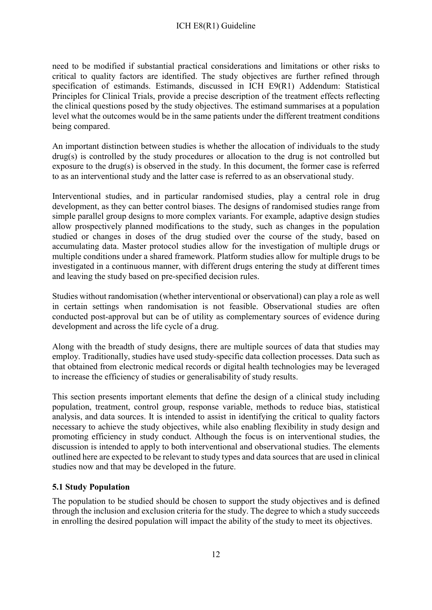need to be modified if substantial practical considerations and limitations or other risks to critical to quality factors are identified. The study objectives are further refined through specification of estimands. Estimands, discussed in ICH E9(R1) Addendum: Statistical Principles for Clinical Trials, provide a precise description of the treatment effects reflecting the clinical questions posed by the study objectives. The estimand summarises at a population level what the outcomes would be in the same patients under the different treatment conditions being compared.

An important distinction between studies is whether the allocation of individuals to the study drug(s) is controlled by the study procedures or allocation to the drug is not controlled but exposure to the drug(s) is observed in the study. In this document, the former case is referred to as an interventional study and the latter case is referred to as an observational study.

Interventional studies, and in particular randomised studies, play a central role in drug development, as they can better control biases. The designs of randomised studies range from simple parallel group designs to more complex variants. For example, adaptive design studies allow prospectively planned modifications to the study, such as changes in the population studied or changes in doses of the drug studied over the course of the study, based on accumulating data. Master protocol studies allow for the investigation of multiple drugs or multiple conditions under a shared framework. Platform studies allow for multiple drugs to be investigated in a continuous manner, with different drugs entering the study at different times and leaving the study based on pre-specified decision rules.

Studies without randomisation (whether interventional or observational) can play a role as well in certain settings when randomisation is not feasible. Observational studies are often conducted post-approval but can be of utility as complementary sources of evidence during development and across the life cycle of a drug.

Along with the breadth of study designs, there are multiple sources of data that studies may employ. Traditionally, studies have used study-specific data collection processes. Data such as that obtained from electronic medical records or digital health technologies may be leveraged to increase the efficiency of studies or generalisability of study results.

This section presents important elements that define the design of a clinical study including population, treatment, control group, response variable, methods to reduce bias, statistical analysis, and data sources. It is intended to assist in identifying the critical to quality factors necessary to achieve the study objectives, while also enabling flexibility in study design and promoting efficiency in study conduct. Although the focus is on interventional studies, the discussion is intended to apply to both interventional and observational studies. The elements outlined here are expected to be relevant to study types and data sources that are used in clinical studies now and that may be developed in the future.

#### 5.1 Study Population

The population to be studied should be chosen to support the study objectives and is defined through the inclusion and exclusion criteria for the study. The degree to which a study succeeds in enrolling the desired population will impact the ability of the study to meet its objectives.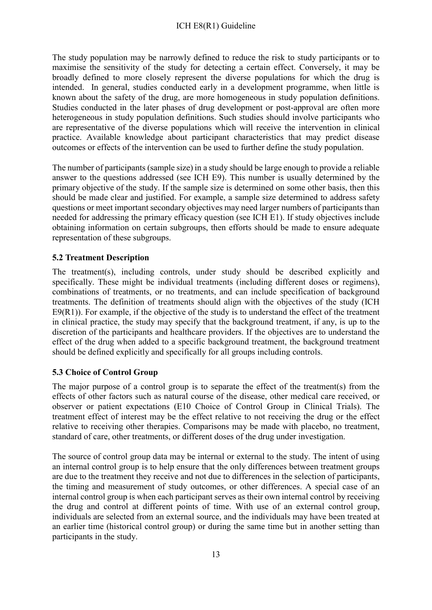The study population may be narrowly defined to reduce the risk to study participants or to maximise the sensitivity of the study for detecting a certain effect. Conversely, it may be broadly defined to more closely represent the diverse populations for which the drug is intended. In general, studies conducted early in a development programme, when little is known about the safety of the drug, are more homogeneous in study population definitions. Studies conducted in the later phases of drug development or post-approval are often more heterogeneous in study population definitions. Such studies should involve participants who are representative of the diverse populations which will receive the intervention in clinical practice. Available knowledge about participant characteristics that may predict disease outcomes or effects of the intervention can be used to further define the study population.

The number of participants (sample size) in a study should be large enough to provide a reliable answer to the questions addressed (see ICH E9). This number is usually determined by the primary objective of the study. If the sample size is determined on some other basis, then this should be made clear and justified. For example, a sample size determined to address safety questions or meet important secondary objectives may need larger numbers of participants than needed for addressing the primary efficacy question (see ICH E1). If study objectives include obtaining information on certain subgroups, then efforts should be made to ensure adequate representation of these subgroups.

### 5.2 Treatment Description

The treatment(s), including controls, under study should be described explicitly and specifically. These might be individual treatments (including different doses or regimens), combinations of treatments, or no treatments, and can include specification of background treatments. The definition of treatments should align with the objectives of the study (ICH E9(R1)). For example, if the objective of the study is to understand the effect of the treatment in clinical practice, the study may specify that the background treatment, if any, is up to the discretion of the participants and healthcare providers. If the objectives are to understand the effect of the drug when added to a specific background treatment, the background treatment should be defined explicitly and specifically for all groups including controls.

### 5.3 Choice of Control Group

The major purpose of a control group is to separate the effect of the treatment(s) from the effects of other factors such as natural course of the disease, other medical care received, or observer or patient expectations (E10 Choice of Control Group in Clinical Trials). The treatment effect of interest may be the effect relative to not receiving the drug or the effect relative to receiving other therapies. Comparisons may be made with placebo, no treatment, standard of care, other treatments, or different doses of the drug under investigation.

The source of control group data may be internal or external to the study. The intent of using an internal control group is to help ensure that the only differences between treatment groups are due to the treatment they receive and not due to differences in the selection of participants, the timing and measurement of study outcomes, or other differences. A special case of an internal control group is when each participant serves as their own internal control by receiving the drug and control at different points of time. With use of an external control group, individuals are selected from an external source, and the individuals may have been treated at an earlier time (historical control group) or during the same time but in another setting than participants in the study.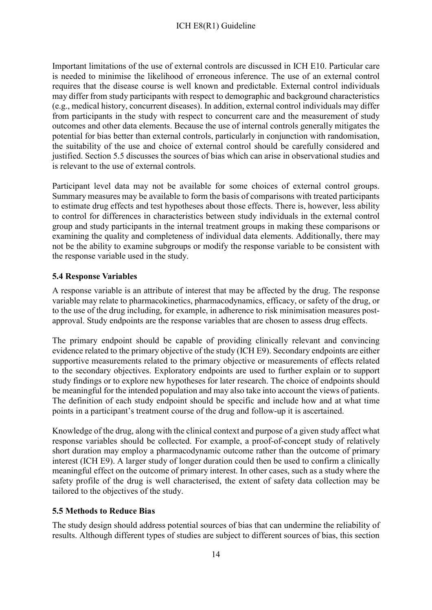Important limitations of the use of external controls are discussed in ICH E10. Particular care is needed to minimise the likelihood of erroneous inference. The use of an external control requires that the disease course is well known and predictable. External control individuals may differ from study participants with respect to demographic and background characteristics (e.g., medical history, concurrent diseases). In addition, external control individuals may differ from participants in the study with respect to concurrent care and the measurement of study outcomes and other data elements. Because the use of internal controls generally mitigates the potential for bias better than external controls, particularly in conjunction with randomisation, the suitability of the use and choice of external control should be carefully considered and justified. Section 5.5 discusses the sources of bias which can arise in observational studies and is relevant to the use of external controls.

Participant level data may not be available for some choices of external control groups. Summary measures may be available to form the basis of comparisons with treated participants to estimate drug effects and test hypotheses about those effects. There is, however, less ability to control for differences in characteristics between study individuals in the external control group and study participants in the internal treatment groups in making these comparisons or examining the quality and completeness of individual data elements. Additionally, there may not be the ability to examine subgroups or modify the response variable to be consistent with the response variable used in the study.

#### 5.4 Response Variables

A response variable is an attribute of interest that may be affected by the drug. The response variable may relate to pharmacokinetics, pharmacodynamics, efficacy, or safety of the drug, or to the use of the drug including, for example, in adherence to risk minimisation measures postapproval. Study endpoints are the response variables that are chosen to assess drug effects.

The primary endpoint should be capable of providing clinically relevant and convincing evidence related to the primary objective of the study (ICH E9). Secondary endpoints are either supportive measurements related to the primary objective or measurements of effects related to the secondary objectives. Exploratory endpoints are used to further explain or to support study findings or to explore new hypotheses for later research. The choice of endpoints should be meaningful for the intended population and may also take into account the views of patients. The definition of each study endpoint should be specific and include how and at what time points in a participant's treatment course of the drug and follow-up it is ascertained.

Knowledge of the drug, along with the clinical context and purpose of a given study affect what response variables should be collected. For example, a proof-of-concept study of relatively short duration may employ a pharmacodynamic outcome rather than the outcome of primary interest (ICH E9). A larger study of longer duration could then be used to confirm a clinically meaningful effect on the outcome of primary interest. In other cases, such as a study where the safety profile of the drug is well characterised, the extent of safety data collection may be tailored to the objectives of the study.

### 5.5 Methods to Reduce Bias

The study design should address potential sources of bias that can undermine the reliability of results. Although different types of studies are subject to different sources of bias, this section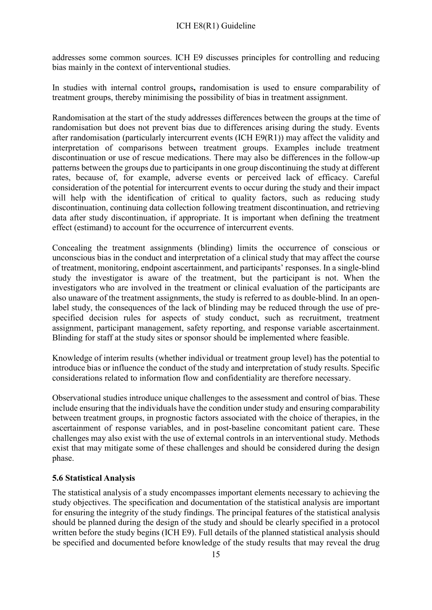addresses some common sources. ICH E9 discusses principles for controlling and reducing bias mainly in the context of interventional studies.

In studies with internal control groups, randomisation is used to ensure comparability of treatment groups, thereby minimising the possibility of bias in treatment assignment.

Randomisation at the start of the study addresses differences between the groups at the time of randomisation but does not prevent bias due to differences arising during the study. Events after randomisation (particularly intercurrent events (ICH E9(R1)) may affect the validity and interpretation of comparisons between treatment groups. Examples include treatment discontinuation or use of rescue medications. There may also be differences in the follow-up patterns between the groups due to participants in one group discontinuing the study at different rates, because of, for example, adverse events or perceived lack of efficacy. Careful consideration of the potential for intercurrent events to occur during the study and their impact will help with the identification of critical to quality factors, such as reducing study discontinuation, continuing data collection following treatment discontinuation, and retrieving data after study discontinuation, if appropriate. It is important when defining the treatment effect (estimand) to account for the occurrence of intercurrent events.

Concealing the treatment assignments (blinding) limits the occurrence of conscious or unconscious bias in the conduct and interpretation of a clinical study that may affect the course of treatment, monitoring, endpoint ascertainment, and participants' responses. In a single-blind study the investigator is aware of the treatment, but the participant is not. When the investigators who are involved in the treatment or clinical evaluation of the participants are also unaware of the treatment assignments, the study is referred to as double-blind. In an openlabel study, the consequences of the lack of blinding may be reduced through the use of prespecified decision rules for aspects of study conduct, such as recruitment, treatment assignment, participant management, safety reporting, and response variable ascertainment. Blinding for staff at the study sites or sponsor should be implemented where feasible.

Knowledge of interim results (whether individual or treatment group level) has the potential to introduce bias or influence the conduct of the study and interpretation of study results. Specific considerations related to information flow and confidentiality are therefore necessary.

Observational studies introduce unique challenges to the assessment and control of bias. These include ensuring that the individuals have the condition under study and ensuring comparability between treatment groups, in prognostic factors associated with the choice of therapies, in the ascertainment of response variables, and in post-baseline concomitant patient care. These challenges may also exist with the use of external controls in an interventional study. Methods exist that may mitigate some of these challenges and should be considered during the design phase.

#### 5.6 Statistical Analysis

The statistical analysis of a study encompasses important elements necessary to achieving the study objectives. The specification and documentation of the statistical analysis are important for ensuring the integrity of the study findings. The principal features of the statistical analysis should be planned during the design of the study and should be clearly specified in a protocol written before the study begins (ICH E9). Full details of the planned statistical analysis should be specified and documented before knowledge of the study results that may reveal the drug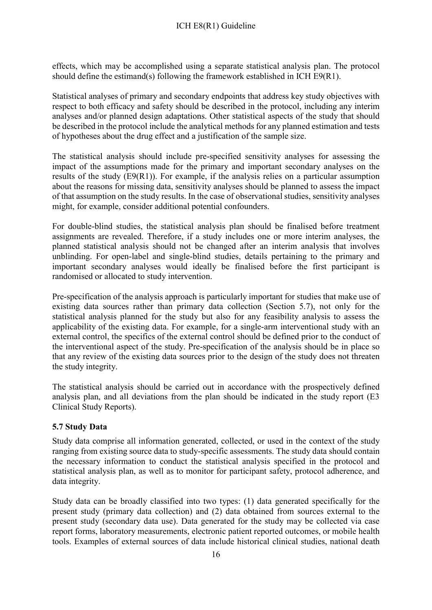effects, which may be accomplished using a separate statistical analysis plan. The protocol should define the estimand(s) following the framework established in ICH E9(R1).

Statistical analyses of primary and secondary endpoints that address key study objectives with respect to both efficacy and safety should be described in the protocol, including any interim analyses and/or planned design adaptations. Other statistical aspects of the study that should be described in the protocol include the analytical methods for any planned estimation and tests of hypotheses about the drug effect and a justification of the sample size.

The statistical analysis should include pre-specified sensitivity analyses for assessing the impact of the assumptions made for the primary and important secondary analyses on the results of the study (E9(R1)). For example, if the analysis relies on a particular assumption about the reasons for missing data, sensitivity analyses should be planned to assess the impact of that assumption on the study results. In the case of observational studies, sensitivity analyses might, for example, consider additional potential confounders.

For double-blind studies, the statistical analysis plan should be finalised before treatment assignments are revealed. Therefore, if a study includes one or more interim analyses, the planned statistical analysis should not be changed after an interim analysis that involves unblinding. For open-label and single-blind studies, details pertaining to the primary and important secondary analyses would ideally be finalised before the first participant is randomised or allocated to study intervention.

Pre-specification of the analysis approach is particularly important for studies that make use of existing data sources rather than primary data collection (Section 5.7), not only for the statistical analysis planned for the study but also for any feasibility analysis to assess the applicability of the existing data. For example, for a single-arm interventional study with an external control, the specifics of the external control should be defined prior to the conduct of the interventional aspect of the study. Pre-specification of the analysis should be in place so that any review of the existing data sources prior to the design of the study does not threaten the study integrity.

The statistical analysis should be carried out in accordance with the prospectively defined analysis plan, and all deviations from the plan should be indicated in the study report (E3 Clinical Study Reports).

#### 5.7 Study Data

Study data comprise all information generated, collected, or used in the context of the study ranging from existing source data to study-specific assessments. The study data should contain the necessary information to conduct the statistical analysis specified in the protocol and statistical analysis plan, as well as to monitor for participant safety, protocol adherence, and data integrity.

Study data can be broadly classified into two types: (1) data generated specifically for the present study (primary data collection) and (2) data obtained from sources external to the present study (secondary data use). Data generated for the study may be collected via case report forms, laboratory measurements, electronic patient reported outcomes, or mobile health tools. Examples of external sources of data include historical clinical studies, national death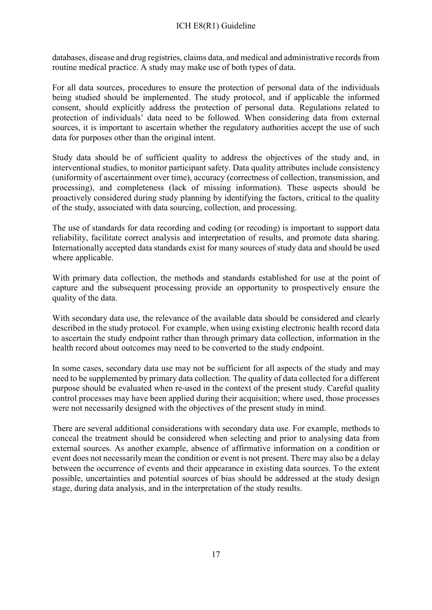databases, disease and drug registries, claims data, and medical and administrative records from routine medical practice. A study may make use of both types of data.

For all data sources, procedures to ensure the protection of personal data of the individuals being studied should be implemented. The study protocol, and if applicable the informed consent, should explicitly address the protection of personal data. Regulations related to protection of individuals' data need to be followed. When considering data from external sources, it is important to ascertain whether the regulatory authorities accept the use of such data for purposes other than the original intent.

Study data should be of sufficient quality to address the objectives of the study and, in interventional studies, to monitor participant safety. Data quality attributes include consistency (uniformity of ascertainment over time), accuracy (correctness of collection, transmission, and processing), and completeness (lack of missing information). These aspects should be proactively considered during study planning by identifying the factors, critical to the quality of the study, associated with data sourcing, collection, and processing.

The use of standards for data recording and coding (or recoding) is important to support data reliability, facilitate correct analysis and interpretation of results, and promote data sharing. Internationally accepted data standards exist for many sources of study data and should be used where applicable.

With primary data collection, the methods and standards established for use at the point of capture and the subsequent processing provide an opportunity to prospectively ensure the quality of the data.

With secondary data use, the relevance of the available data should be considered and clearly described in the study protocol. For example, when using existing electronic health record data to ascertain the study endpoint rather than through primary data collection, information in the health record about outcomes may need to be converted to the study endpoint.

In some cases, secondary data use may not be sufficient for all aspects of the study and may need to be supplemented by primary data collection. The quality of data collected for a different purpose should be evaluated when re-used in the context of the present study. Careful quality control processes may have been applied during their acquisition; where used, those processes were not necessarily designed with the objectives of the present study in mind.

There are several additional considerations with secondary data use. For example, methods to conceal the treatment should be considered when selecting and prior to analysing data from external sources. As another example, absence of affirmative information on a condition or event does not necessarily mean the condition or event is not present. There may also be a delay between the occurrence of events and their appearance in existing data sources. To the extent possible, uncertainties and potential sources of bias should be addressed at the study design stage, during data analysis, and in the interpretation of the study results.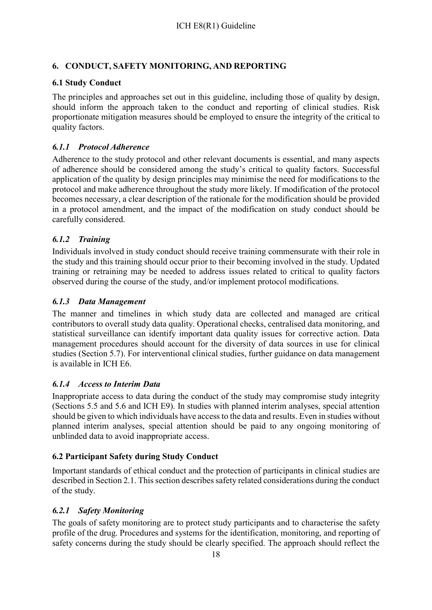# 6. CONDUCT, SAFETY MONITORING, AND REPORTING

## 6.1 Study Conduct

The principles and approaches set out in this guideline, including those of quality by design, should inform the approach taken to the conduct and reporting of clinical studies. Risk proportionate mitigation measures should be employed to ensure the integrity of the critical to quality factors.

# 6.1.1 Protocol Adherence

Adherence to the study protocol and other relevant documents is essential, and many aspects of adherence should be considered among the study's critical to quality factors. Successful application of the quality by design principles may minimise the need for modifications to the protocol and make adherence throughout the study more likely. If modification of the protocol becomes necessary, a clear description of the rationale for the modification should be provided in a protocol amendment, and the impact of the modification on study conduct should be carefully considered.

# 6.1.2 Training

Individuals involved in study conduct should receive training commensurate with their role in the study and this training should occur prior to their becoming involved in the study. Updated training or retraining may be needed to address issues related to critical to quality factors observed during the course of the study, and/or implement protocol modifications.

## 6.1.3 Data Management

The manner and timelines in which study data are collected and managed are critical contributors to overall study data quality. Operational checks, centralised data monitoring, and statistical surveillance can identify important data quality issues for corrective action. Data management procedures should account for the diversity of data sources in use for clinical studies (Section 5.7). For interventional clinical studies, further guidance on data management is available in ICH E6.

### 6.1.4 Access to Interim Data

Inappropriate access to data during the conduct of the study may compromise study integrity (Sections 5.5 and 5.6 and ICH E9). In studies with planned interim analyses, special attention should be given to which individuals have access to the data and results. Even in studies without planned interim analyses, special attention should be paid to any ongoing monitoring of unblinded data to avoid inappropriate access.

### 6.2 Participant Safety during Study Conduct

Important standards of ethical conduct and the protection of participants in clinical studies are described in Section 2.1. This section describes safety related considerations during the conduct of the study.

### 6.2.1 Safety Monitoring

The goals of safety monitoring are to protect study participants and to characterise the safety profile of the drug. Procedures and systems for the identification, monitoring, and reporting of safety concerns during the study should be clearly specified. The approach should reflect the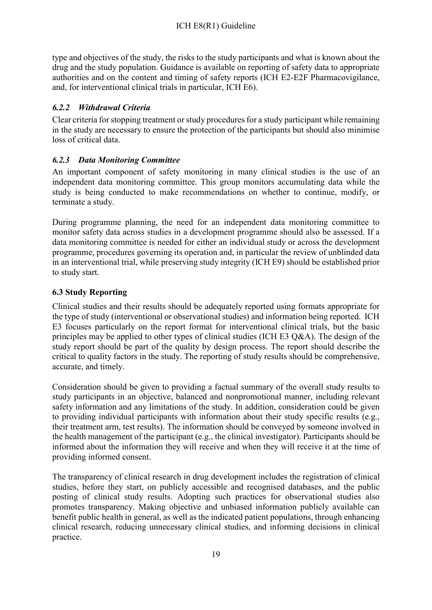type and objectives of the study, the risks to the study participants and what is known about the drug and the study population. Guidance is available on reporting of safety data to appropriate authorities and on the content and timing of safety reports (ICH E2-E2F Pharmacovigilance, and, for interventional clinical trials in particular, ICH E6).

# 6.2.2 Withdrawal Criteria

Clear criteria for stopping treatment or study procedures for a study participant while remaining in the study are necessary to ensure the protection of the participants but should also minimise loss of critical data.

# 6.2.3 Data Monitoring Committee

An important component of safety monitoring in many clinical studies is the use of an independent data monitoring committee. This group monitors accumulating data while the study is being conducted to make recommendations on whether to continue, modify, or terminate a study.

During programme planning, the need for an independent data monitoring committee to monitor safety data across studies in a development programme should also be assessed. If a data monitoring committee is needed for either an individual study or across the development programme, procedures governing its operation and, in particular the review of unblinded data in an interventional trial, while preserving study integrity (ICH E9) should be established prior to study start.

# 6.3 Study Reporting

Clinical studies and their results should be adequately reported using formats appropriate for the type of study (interventional or observational studies) and information being reported. ICH E3 focuses particularly on the report format for interventional clinical trials, but the basic principles may be applied to other types of clinical studies (ICH E3 Q&A). The design of the study report should be part of the quality by design process. The report should describe the critical to quality factors in the study. The reporting of study results should be comprehensive, accurate, and timely.

Consideration should be given to providing a factual summary of the overall study results to study participants in an objective, balanced and nonpromotional manner, including relevant safety information and any limitations of the study. In addition, consideration could be given to providing individual participants with information about their study specific results (e.g., their treatment arm, test results). The information should be conveyed by someone involved in the health management of the participant (e.g., the clinical investigator). Participants should be informed about the information they will receive and when they will receive it at the time of providing informed consent.

The transparency of clinical research in drug development includes the registration of clinical studies, before they start, on publicly accessible and recognised databases, and the public posting of clinical study results. Adopting such practices for observational studies also promotes transparency. Making objective and unbiased information publicly available can benefit public health in general, as well as the indicated patient populations, through enhancing clinical research, reducing unnecessary clinical studies, and informing decisions in clinical practice.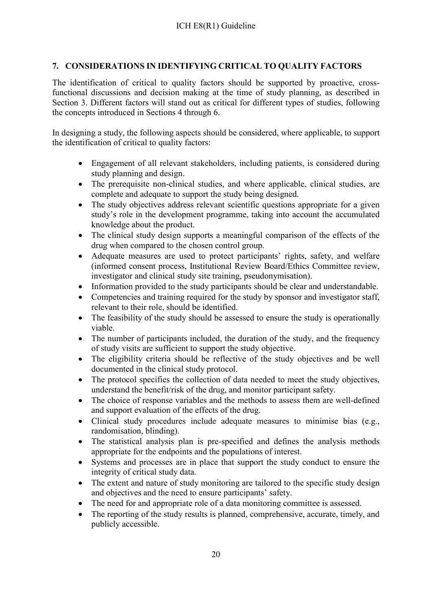# 7. CONSIDERATIONS IN IDENTIFYING CRITICAL TO QUALITY FACTORS

The identification of critical to quality factors should be supported by proactive, crossfunctional discussions and decision making at the time of study planning, as described in Section 3. Different factors will stand out as critical for different types of studies, following the concepts introduced in Sections 4 through 6.

In designing a study, the following aspects should be considered, where applicable, to support the identification of critical to quality factors:

- Engagement of all relevant stakeholders, including patients, is considered during study planning and design.
- The prerequisite non-clinical studies, and where applicable, clinical studies, are complete and adequate to support the study being designed.
- The study objectives address relevant scientific questions appropriate for a given study's role in the development programme, taking into account the accumulated knowledge about the product.
- The clinical study design supports a meaningful comparison of the effects of the drug when compared to the chosen control group.
- Adequate measures are used to protect participants' rights, safety, and welfare (informed consent process, Institutional Review Board/Ethics Committee review, investigator and clinical study site training, pseudonymisation).
- Information provided to the study participants should be clear and understandable.
- Competencies and training required for the study by sponsor and investigator staff, relevant to their role, should be identified.
- The feasibility of the study should be assessed to ensure the study is operationally viable.
- The number of participants included, the duration of the study, and the frequency of study visits are sufficient to support the study objective.
- The eligibility criteria should be reflective of the study objectives and be well documented in the clinical study protocol.
- The protocol specifies the collection of data needed to meet the study objectives, understand the benefit/risk of the drug, and monitor participant safety.
- The choice of response variables and the methods to assess them are well-defined and support evaluation of the effects of the drug.
- Clinical study procedures include adequate measures to minimise bias (e.g., randomisation, blinding).
- The statistical analysis plan is pre-specified and defines the analysis methods appropriate for the endpoints and the populations of interest.
- Systems and processes are in place that support the study conduct to ensure the integrity of critical study data.
- The extent and nature of study monitoring are tailored to the specific study design and objectives and the need to ensure participants' safety.
- The need for and appropriate role of a data monitoring committee is assessed.
- The reporting of the study results is planned, comprehensive, accurate, timely, and publicly accessible.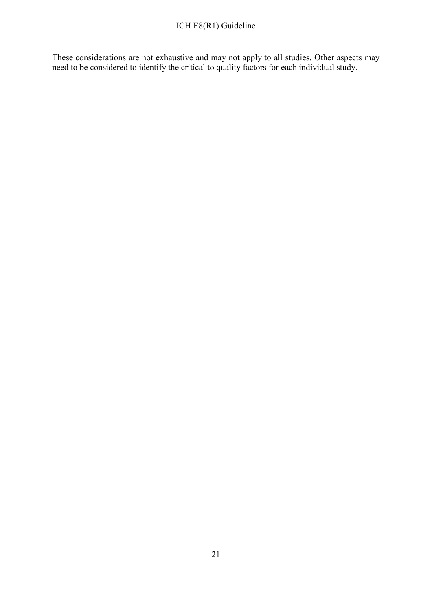These considerations are not exhaustive and may not apply to all studies. Other aspects may need to be considered to identify the critical to quality factors for each individual study.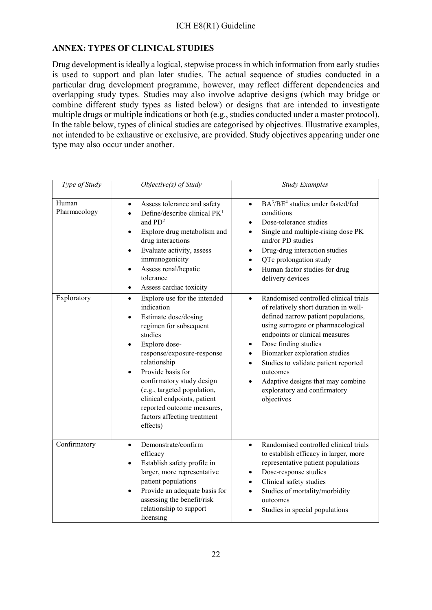## ANNEX: TYPES OF CLINICAL STUDIES

Drug development is ideally a logical, stepwise process in which information from early studies is used to support and plan later studies. The actual sequence of studies conducted in a particular drug development programme, however, may reflect different dependencies and overlapping study types. Studies may also involve adaptive designs (which may bridge or combine different study types as listed below) or designs that are intended to investigate multiple drugs or multiple indications or both (e.g., studies conducted under a master protocol). In the table below, types of clinical studies are categorised by objectives. Illustrative examples, not intended to be exhaustive or exclusive, are provided. Study objectives appearing under one type may also occur under another.

| Type of Study         | Objective(s) of Study                                                                                                                                                                                                                                                                                                                                                        | <b>Study Examples</b>                                                                                                                                                                                                                                                                                                                                                                                                        |
|-----------------------|------------------------------------------------------------------------------------------------------------------------------------------------------------------------------------------------------------------------------------------------------------------------------------------------------------------------------------------------------------------------------|------------------------------------------------------------------------------------------------------------------------------------------------------------------------------------------------------------------------------------------------------------------------------------------------------------------------------------------------------------------------------------------------------------------------------|
| Human<br>Pharmacology | Assess tolerance and safety<br>$\bullet$<br>Define/describe clinical PK <sup>1</sup><br>and PD <sup>2</sup><br>Explore drug metabolism and<br>$\bullet$<br>drug interactions<br>Evaluate activity, assess<br>immunogenicity<br>Assess renal/hepatic<br>tolerance<br>Assess cardiac toxicity<br>$\bullet$                                                                     | BA <sup>3</sup> /BE <sup>4</sup> studies under fasted/fed<br>$\bullet$<br>conditions<br>Dose-tolerance studies<br>$\bullet$<br>Single and multiple-rising dose PK<br>$\bullet$<br>and/or PD studies<br>Drug-drug interaction studies<br>$\bullet$<br>QTc prolongation study<br>$\bullet$<br>Human factor studies for drug<br>delivery devices                                                                                |
| Exploratory           | Explore use for the intended<br>$\bullet$<br>indication<br>Estimate dose/dosing<br>regimen for subsequent<br>studies<br>Explore dose-<br>response/exposure-response<br>relationship<br>Provide basis for<br>confirmatory study design<br>(e.g., targeted population,<br>clinical endpoints, patient<br>reported outcome measures,<br>factors affecting treatment<br>effects) | Randomised controlled clinical trials<br>$\bullet$<br>of relatively short duration in well-<br>defined narrow patient populations,<br>using surrogate or pharmacological<br>endpoints or clinical measures<br>Dose finding studies<br>٠<br>Biomarker exploration studies<br>Studies to validate patient reported<br>$\bullet$<br>outcomes<br>Adaptive designs that may combine<br>exploratory and confirmatory<br>objectives |
| Confirmatory          | Demonstrate/confirm<br>efficacy<br>Establish safety profile in<br>larger, more representative<br>patient populations<br>Provide an adequate basis for<br>assessing the benefit/risk<br>relationship to support<br>licensing                                                                                                                                                  | Randomised controlled clinical trials<br>$\bullet$<br>to establish efficacy in larger, more<br>representative patient populations<br>Dose-response studies<br>٠<br>Clinical safety studies<br>$\bullet$<br>Studies of mortality/morbidity<br>outcomes<br>Studies in special populations                                                                                                                                      |